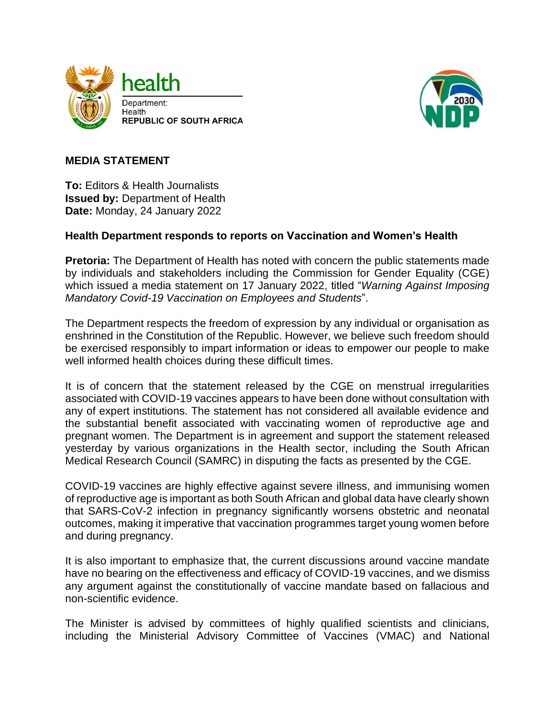



## **MEDIA STATEMENT**

**To:** Editors & Health Journalists **Issued by:** Department of Health **Date:** Monday, 24 January 2022

## **Health Department responds to reports on Vaccination and Women's Health**

**Pretoria:** The Department of Health has noted with concern the public statements made by individuals and stakeholders including the Commission for Gender Equality (CGE) which issued a media statement on 17 January 2022, titled "*Warning Against Imposing Mandatory Covid-19 Vaccination on Employees and Students*".

The Department respects the freedom of expression by any individual or organisation as enshrined in the Constitution of the Republic. However, we believe such freedom should be exercised responsibly to impart information or ideas to empower our people to make well informed health choices during these difficult times.

It is of concern that the statement released by the CGE on menstrual irregularities associated with COVID-19 vaccines appears to have been done without consultation with any of expert institutions. The statement has not considered all available evidence and the substantial benefit associated with vaccinating women of reproductive age and pregnant women. The Department is in agreement and support the statement released yesterday by various organizations in the Health sector, including the South African Medical Research Council (SAMRC) in disputing the facts as presented by the CGE.

COVID-19 vaccines are highly effective against severe illness, and immunising women of reproductive age is important as both South African and global data have clearly shown that SARS-CoV-2 infection in pregnancy significantly worsens obstetric and neonatal outcomes, making it imperative that vaccination programmes target young women before and during pregnancy.

It is also important to emphasize that, the current discussions around vaccine mandate have no bearing on the effectiveness and efficacy of COVID-19 vaccines, and we dismiss any argument against the constitutionally of vaccine mandate based on fallacious and non-scientific evidence.

The Minister is advised by committees of highly qualified scientists and clinicians, including the Ministerial Advisory Committee of Vaccines (VMAC) and National